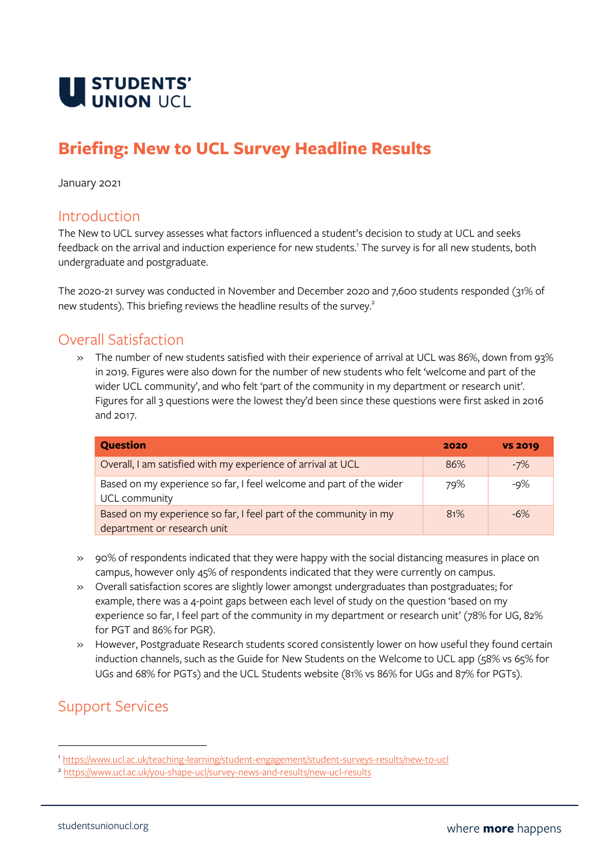

# **Briefing: New to UCL Survey Headline Results**

January 2021

#### Introduction

The New to UCL survey assesses what factors influenced a student's decision to study at UCL and seeks feedback on the arrival and induction experience for new students. 1 The survey is for all new students, both undergraduate and postgraduate.

The 2020-21 survey was conducted in November and December 2020 and 7,600 students responded (31% of new students). This briefing reviews the headline results of the survey.<sup>2</sup>

### Overall Satisfaction

» The number of new students satisfied with their experience of arrival at UCL was 86%, down from 93% in 2019. Figures were also down for the number of new students who felt 'welcome and part of the wider UCL community', and who felt 'part of the community in my department or research unit'. Figures for all 3 questions were the lowest they'd been since these questions were first asked in 2016 and 2017.

| <b>Question</b>                                                                                  | 2020 | <b>VS 2019</b> |
|--------------------------------------------------------------------------------------------------|------|----------------|
| Overall, I am satisfied with my experience of arrival at UCL                                     | 86%  | $-7%$          |
| Based on my experience so far, I feel welcome and part of the wider<br>UCL community             | 79%  | -9%            |
| Based on my experience so far, I feel part of the community in my<br>department or research unit | 81%  | $-6\%$         |

- » 90% of respondents indicated that they were happy with the social distancing measures in place on campus, however only 45% of respondents indicated that they were currently on campus.
- » Overall satisfaction scores are slightly lower amongst undergraduates than postgraduates; for example, there was a 4-point gaps between each level of study on the question 'based on my experience so far, I feel part of the community in my department or research unit' (78% for UG, 82% for PGT and 86% for PGR).
- » However, Postgraduate Research students scored consistently lower on how useful they found certain induction channels, such as the Guide for New Students on the Welcome to UCL app (58% vs 65% for UGs and 68% for PGTs) and the UCL Students website (81% vs 86% for UGs and 87% for PGTs).

## Support Services

<sup>1</sup> <https://www.ucl.ac.uk/teaching-learning/student-engagement/student-surveys-results/new-to-ucl>

<sup>2</sup> <https://www.ucl.ac.uk/you-shape-ucl/survey-news-and-results/new-ucl-results>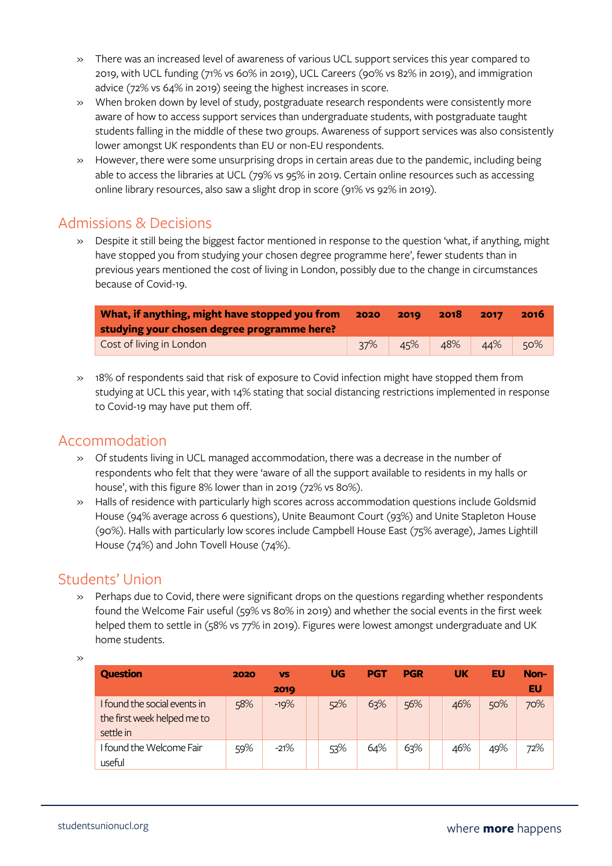- » There was an increased level of awareness of various UCL support services this year compared to 2019, with UCL funding (71% vs 60% in 2019), UCL Careers (90% vs 82% in 2019), and immigration advice (72% vs 64% in 2019) seeing the highest increases in score.
- » When broken down by level of study, postgraduate research respondents were consistently more aware of how to access support services than undergraduate students, with postgraduate taught students falling in the middle of these two groups. Awareness of support services was also consistently lower amongst UK respondents than EU or non-EU respondents.
- » However, there were some unsurprising drops in certain areas due to the pandemic, including being able to access the libraries at UCL (79% vs 95% in 2019. Certain online resources such as accessing online library resources, also saw a slight drop in score (91% vs 92% in 2019).

### Admissions & Decisions

» Despite it still being the biggest factor mentioned in response to the question 'what, if anything, might have stopped you from studying your chosen degree programme here', fewer students than in previous years mentioned the cost of living in London, possibly due to the change in circumstances because of Covid-19.

| What, if anything, might have stopped you from |     | 2019 | 2018 | 2017 | 2016 |  |
|------------------------------------------------|-----|------|------|------|------|--|
| studying your chosen degree programme here?    |     |      |      |      |      |  |
| Cost of living in London                       | 37% | 45%  | 48%  | 44%  | 50%  |  |

» 18% of respondents said that risk of exposure to Covid infection might have stopped them from studying at UCL this year, with 14% stating that social distancing restrictions implemented in response to Covid-19 may have put them off.

### Accommodation

- » Of students living in UCL managed accommodation, there was a decrease in the number of respondents who felt that they were 'aware of all the support available to residents in my halls or house', with this figure 8% lower than in 2019 (72% vs 80%).
- » Halls of residence with particularly high scores across accommodation questions include Goldsmid House (94% average across 6 questions), Unite Beaumont Court (93%) and Unite Stapleton House (90%). Halls with particularly low scores include Campbell House East (75% average), James Lightill House (74%) and John Tovell House (74%).

### Students' Union

» Perhaps due to Covid, there were significant drops on the questions regarding whether respondents found the Welcome Fair useful (59% vs 80% in 2019) and whether the social events in the first week helped them to settle in (58% vs 77% in 2019). Figures were lowest amongst undergraduate and UK home students.

»

| <b>Question</b>                                                          | 2020 | <b>VS</b> | <b>UG</b> | <b>PGT</b> | <b>PGR</b> | <b>UK</b> | EU  | Non- |
|--------------------------------------------------------------------------|------|-----------|-----------|------------|------------|-----------|-----|------|
|                                                                          |      | 2019      |           |            |            |           |     | EU   |
| I found the social events in<br>the first week helped me to<br>settle in | 58%  | $-19%$    | 52%       | 63%        | 56%        | 46%       | 50% | 70%  |
| I found the Welcome Fair<br>useful                                       | 59%  | $-21%$    | 53%       | 64%        | 63%        | 46%       | 49% | 72%  |